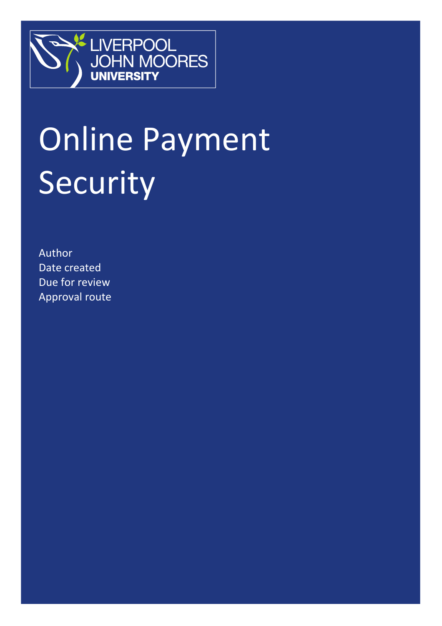

# Online Payment Security

Author Date created Due for review Approval route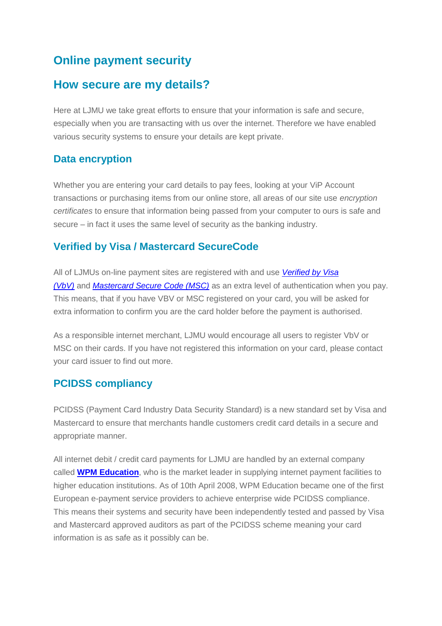# **Online payment security**

# **How secure are my details?**

Here at LJMU we take great efforts to ensure that your information is safe and secure, especially when you are transacting with us over the internet. Therefore we have enabled various security systems to ensure your details are kept private.

## **Data encryption**

Whether you are entering your card details to pay fees, looking at your ViP Account transactions or purchasing items from our online store, all areas of our site use *encryption certificates* to ensure that information being passed from your computer to ours is safe and secure – in fact it uses the same level of security as the banking industry.

## **Verified by Visa / Mastercard SecureCode**

All of LJMUs on-line payment sites are registered with and use *[Verified by Visa](http://www.visaeurope.com/personal/onlineshopping/verifiedbyvisa/main.jsp)  [\(VbV\)](http://www.visaeurope.com/personal/onlineshopping/verifiedbyvisa/main.jsp)* and *[Mastercard Secure Code \(MSC\)](http://www.mastercard.com/uk/personal/en/cardholderservices/securecode/index.html)* as an extra level of authentication when you pay. This means, that if you have VBV or MSC registered on your card, you will be asked for extra information to confirm you are the card holder before the payment is authorised.

As a responsible internet merchant, LJMU would encourage all users to register VbV or MSC on their cards. If you have not registered this information on your card, please contact your card issuer to find out more.

## **PCIDSS compliancy**

PCIDSS (Payment Card Industry Data Security Standard) is a new standard set by Visa and Mastercard to ensure that merchants handle customers credit card details in a secure and appropriate manner.

All internet debit / credit card payments for LJMU are handled by an external company called **[WPM Education](http://www.wpmeducation.com/)**, who is the market leader in supplying internet payment facilities to higher education institutions. As of 10th April 2008, WPM Education became one of the first European e-payment service providers to achieve enterprise wide PCIDSS compliance. This means their systems and security have been independently tested and passed by Visa and Mastercard approved auditors as part of the PCIDSS scheme meaning your card information is as safe as it possibly can be.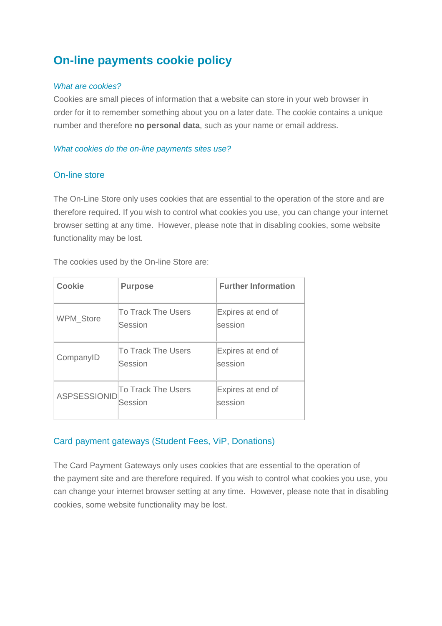# **On-line payments cookie policy**

#### *What are cookies?*

Cookies are small pieces of information that a website can store in your web browser in order for it to remember something about you on a later date. The cookie contains a unique number and therefore **no personal data**, such as your name or email address.

#### *What cookies do the on-line payments sites use?*

### On-line store

The On-Line Store only uses cookies that are essential to the operation of the store and are therefore required. If you wish to control what cookies you use, you can change your internet browser setting at any time. However, please note that in disabling cookies, some website functionality may be lost.

The cookies used by the On-line Store are:

| <b>Cookie</b>       | <b>Purpose</b>                | <b>Further Information</b>   |
|---------------------|-------------------------------|------------------------------|
| WPM_Store           | To Track The Users<br>Session | Expires at end of<br>session |
| CompanyID           | To Track The Users<br>Session | Expires at end of<br>session |
| <b>ASPSESSIONID</b> | To Track The Users<br>Session | Expires at end of<br>session |

## Card payment gateways (Student Fees, ViP, Donations)

The Card Payment Gateways only uses cookies that are essential to the operation of the payment site and are therefore required. If you wish to control what cookies you use, you can change your internet browser setting at any time. However, please note that in disabling cookies, some website functionality may be lost.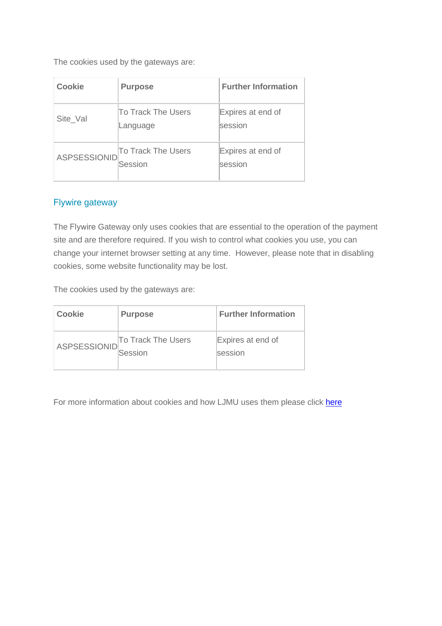The cookies used by the gateways are:

| <b>Cookie</b>       | <b>Purpose</b>                       | <b>Further Information</b>   |
|---------------------|--------------------------------------|------------------------------|
| Site Val            | To Track The Users<br>Language       | Expires at end of<br>session |
| <b>ASPSESSIONID</b> | <b>To Track The Users</b><br>Session | Expires at end of<br>session |

## Flywire gateway

The Flywire Gateway only uses cookies that are essential to the operation of the payment site and are therefore required. If you wish to control what cookies you use, you can change your internet browser setting at any time. However, please note that in disabling cookies, some website functionality may be lost.

The cookies used by the gateways are:

| <b>Cookie</b> | <b>Purpose</b>                       | <b>Further Information</b>          |
|---------------|--------------------------------------|-------------------------------------|
| ASPSESSIONID  | <b>To Track The Users</b><br>Session | Expires at end of<br><b>Session</b> |

For more information about cookies and how LJMU uses them please click here